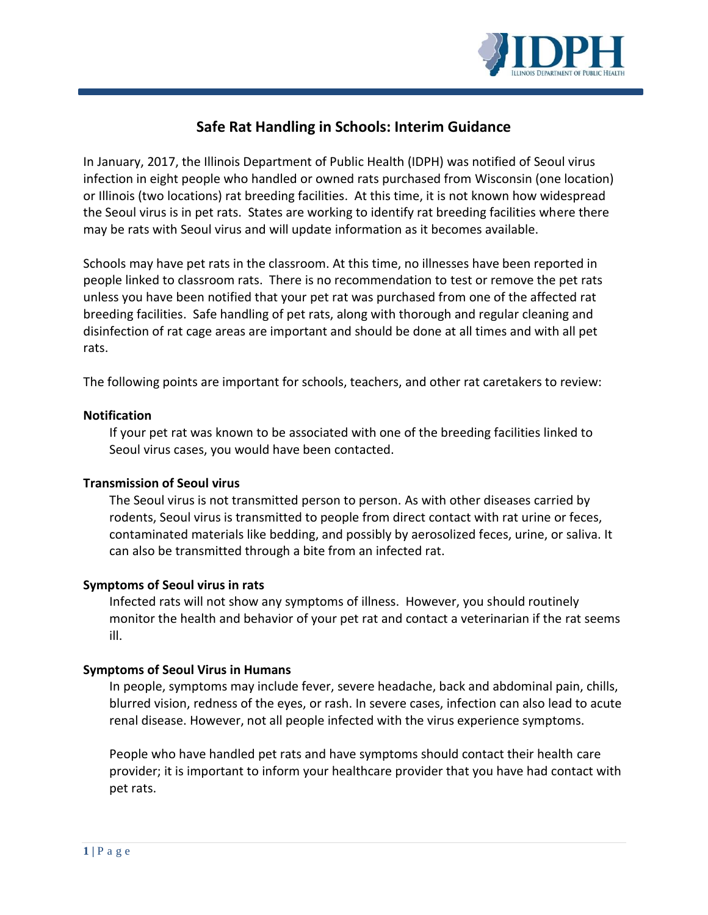

# **Safe Rat Handling in Schools: Interim Guidance**

In January, 2017, the Illinois Department of Public Health (IDPH) was notified of Seoul virus infection in eight people who handled or owned rats purchased from Wisconsin (one location) or Illinois (two locations) rat breeding facilities. At this time, it is not known how widespread the Seoul virus is in pet rats. States are working to identify rat breeding facilities where there may be rats with Seoul virus and will update information as it becomes available.

Schools may have pet rats in the classroom. At this time, no illnesses have been reported in people linked to classroom rats. There is no recommendation to test or remove the pet rats unless you have been notified that your pet rat was purchased from one of the affected rat breeding facilities. Safe handling of pet rats, along with thorough and regular cleaning and disinfection of rat cage areas are important and should be done at all times and with all pet rats.

The following points are important for schools, teachers, and other rat caretakers to review:

## **Notification**

If your pet rat was known to be associated with one of the breeding facilities linked to Seoul virus cases, you would have been contacted.

## **Transmission of Seoul virus**

The Seoul virus is not transmitted person to person. As with other diseases carried by rodents, Seoul virus is transmitted to people from direct contact with rat urine or feces, contaminated materials like bedding, and possibly by aerosolized feces, urine, or saliva. It can also be transmitted through a bite from an infected rat.

## **Symptoms of Seoul virus in rats**

Infected rats will not show any symptoms of illness. However, you should routinely monitor the health and behavior of your pet rat and contact a veterinarian if the rat seems ill.

## **Symptoms of Seoul Virus in Humans**

In people, symptoms may include fever, severe headache, back and abdominal pain, chills, blurred vision, redness of the eyes, or rash. In severe cases, infection can also lead to acute renal disease. However, not all people infected with the virus experience symptoms.

People who have handled pet rats and have symptoms should contact their health care provider; it is important to inform your healthcare provider that you have had contact with pet rats.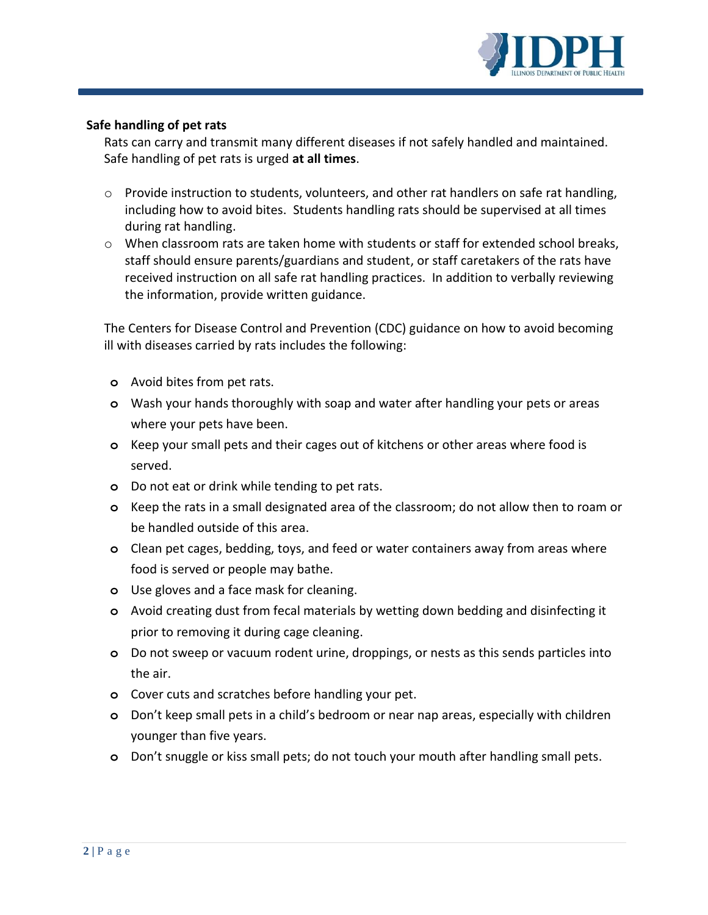

## **Safe handling of pet rats**

Rats can carry and transmit many different diseases if not safely handled and maintained. Safe handling of pet rats is urged **at all times**.

- $\circ$  Provide instruction to students, volunteers, and other rat handlers on safe rat handling, including how to avoid bites. Students handling rats should be supervised at all times during rat handling.
- $\circ$  When classroom rats are taken home with students or staff for extended school breaks, staff should ensure parents/guardians and student, or staff caretakers of the rats have received instruction on all safe rat handling practices. In addition to verbally reviewing the information, provide written guidance.

The Centers for Disease Control and Prevention (CDC) guidance on how to avoid becoming ill with diseases carried by rats includes the following:

- **o** Avoid bites from pet rats.
- **o** Wash your hands thoroughly with soap and water after handling your pets or areas where your pets have been.
- **o** Keep your small pets and their cages out of kitchens or other areas where food is served.
- **o** Do not eat or drink while tending to pet rats.
- **o** Keep the rats in a small designated area of the classroom; do not allow then to roam or be handled outside of this area.
- **o** Clean pet cages, bedding, toys, and feed or water containers away from areas where food is served or people may bathe.
- **o** Use gloves and a face mask for cleaning.
- **o** Avoid creating dust from fecal materials by wetting down bedding and disinfecting it prior to removing it during cage cleaning.
- **o** Do not sweep or vacuum rodent urine, droppings, or nests as this sends particles into the air.
- **o** Cover cuts and scratches before handling your pet.
- **o** Don't keep small pets in a child's bedroom or near nap areas, especially with children younger than five years.
- **o** Don't snuggle or kiss small pets; do not touch your mouth after handling small pets.